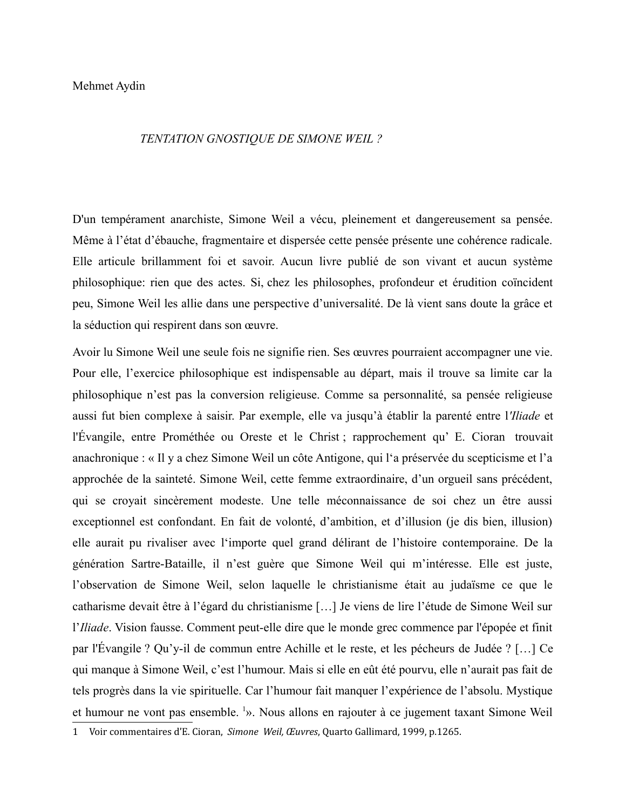## TENTATION GNOSTIQUE DE SIMONE WEIL ?

D'un tempérament anarchiste, Simone Weil a vécu, pleinement et dangereusement sa pensée. Même à l'état d'ébauche, fragmentaire et dispersée cette pensée présente une cohérence radicale. Elle articule brillamment foi et savoir. Aucun livre publié de son vivant et aucun système philosophique: rien que des actes. Si, chez les philosophes, profondeur et érudition coïncident peu, Simone Weil les allie dans une perspective d'universalité. De là vient sans doute la grâce et la séduction qui respirent dans son œuvre.

Avoir lu Simone Weil une seule fois ne signifie rien. Ses œuvres pourraient accompagner une vie. Pour elle, l'exercice philosophique est indispensable au départ, mais il trouve sa limite car la philosophique n'est pas la conversion religieuse. Comme sa personnalité, sa pensée religieuse aussi fut bien complexe à saisir. Par exemple, elle va jusqu'à établir la parenté entre l'Iliade et l'Évangile, entre Prométhée ou Oreste et le Christ; rapprochement qu' E. Cioran trouvait anachronique : « Il y a chez Simone Weil un côte Antigone, qui l'a préservée du scepticisme et l'a approchée de la sainteté. Simone Weil, cette femme extraordinaire, d'un orgueil sans précédent, qui se croyait sincèrement modeste. Une telle méconnaissance de soi chez un être aussi exceptionnel est confondant. En fait de volonté, d'ambition, et d'illusion (je dis bien, illusion) elle aurait pu rivaliser avec l'importe quel grand délirant de l'histoire contemporaine. De la génération Sartre-Bataille, il n'est guère que Simone Weil qui m'intéresse. Elle est juste, l'observation de Simone Weil, selon laquelle le christianisme était au judaïsme ce que le catharisme devait être à l'égard du christianisme [...] Je viens de lire l'étude de Simone Weil sur l'Iliade. Vision fausse. Comment peut-elle dire que le monde grec commence par l'épopée et finit par l'Évangile ? Qu'y-il de commun entre Achille et le reste, et les pécheurs de Judée ? [...] Ce qui manque à Simone Weil, c'est l'humour. Mais si elle en eût été pourvu, elle n'aurait pas fait de tels progrès dans la vie spirituelle. Car l'humour fait manquer l'expérience de l'absolu. Mystique et humour ne vont pas ensemble.<sup>1</sup>». Nous allons en rajouter à ce jugement taxant Simone Weil

<span id="page-0-0"></span><sup>1</sup> Voir commentaires d'E. Cioran, Simone Weil, Œuvres, Quarto Gallimard, 1999, p.1265.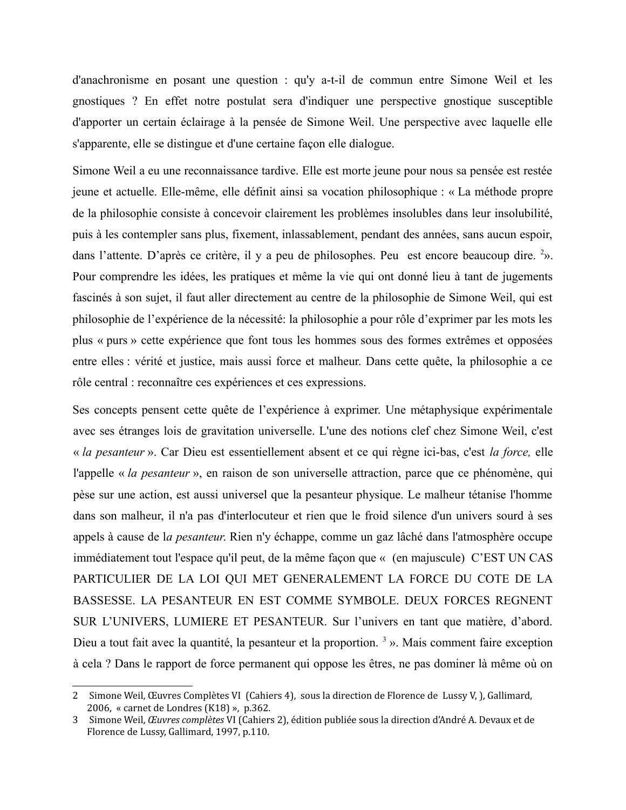d'anachronisme en posant une question : qu'v a-t-il de commun entre Simone Weil et les gnostiques? En effet notre postulat sera d'indiquer une perspective gnostique susceptible d'apporter un certain éclairage à la pensée de Simone Weil. Une perspective avec laquelle elle s'apparente, elle se distingue et d'une certaine façon elle dialogue.

Simone Weil a eu une reconnaissance tardive. Elle est morte jeune pour nous sa pensée est restée jeune et actuelle. Elle-même, elle définit ainsi sa vocation philosophique : « La méthode propre de la philosophie consiste à concevoir clairement les problèmes insolubles dans leur insolubilité, puis à les contempler sans plus, fixement, inlassablement, pendant des années, sans aucun espoir, dans l'attente. D'après ce critère, il y a peu de philosophes. Peu est encore beaucoup dire. 2». Pour comprendre les idées, les pratiques et même la vie qui ont donné lieu à tant de jugements fascinés à son sujet, il faut aller directement au centre de la philosophie de Simone Weil, qui est philosophie de l'expérience de la nécessité: la philosophie a pour rôle d'exprimer par les mots les plus « purs » cette expérience que font tous les hommes sous des formes extrêmes et opposées entre elles : vérité et justice, mais aussi force et malheur. Dans cette quête, la philosophie a ce rôle central : reconnaître ces expériences et ces expressions.

Ses concepts pensent cette quête de l'expérience à exprimer. Une métaphysique expérimentale avec ses étranges lois de gravitation universelle. L'une des notions clef chez Simone Weil, c'est « la pesanteur ». Car Dieu est essentiellement absent et ce qui règne ici-bas, c'est la force, elle l'appelle « la pesanteur », en raison de son universelle attraction, parce que ce phénomène, qui pèse sur une action, est aussi universel que la pesanteur physique. Le malheur tétanise l'homme dans son malheur, il n'a pas d'interlocuteur et rien que le froid silence d'un univers sourd à ses appels à cause de la *pesanteur*. Rien n'y échappe, comme un gaz lâché dans l'atmosphère occupe immédiatement tout l'espace qu'il peut, de la même façon que « (en majuscule) C'EST UN CAS PARTICULIER DE LA LOI QUI MET GENERALEMENT LA FORCE DU COTE DE LA BASSESSE. LA PESANTEUR EN EST COMME SYMBOLE. DEUX FORCES REGNENT SUR L'UNIVERS, LUMIERE ET PESANTEUR. Sur l'univers en tant que matière, d'abord. Dieu a tout fait avec la quantité, la pesanteur et la proportion.<sup>3</sup> ». Mais comment faire exception à cela ? Dans le rapport de force permanent qui oppose les êtres, ne pas dominer là même où on

<span id="page-1-0"></span><sup>2</sup> Simone Weil, Œuvres Complètes VI (Cahiers 4), sous la direction de Florence de Lussy V, ), Gallimard, 2006, « carnet de Londres (K18) », p.362.

<span id="page-1-1"></span><sup>3</sup> Simone Weil, Œuvres complètes VI (Cahiers 2), édition publiée sous la direction d'André A. Devaux et de Florence de Lussy, Gallimard, 1997, p.110.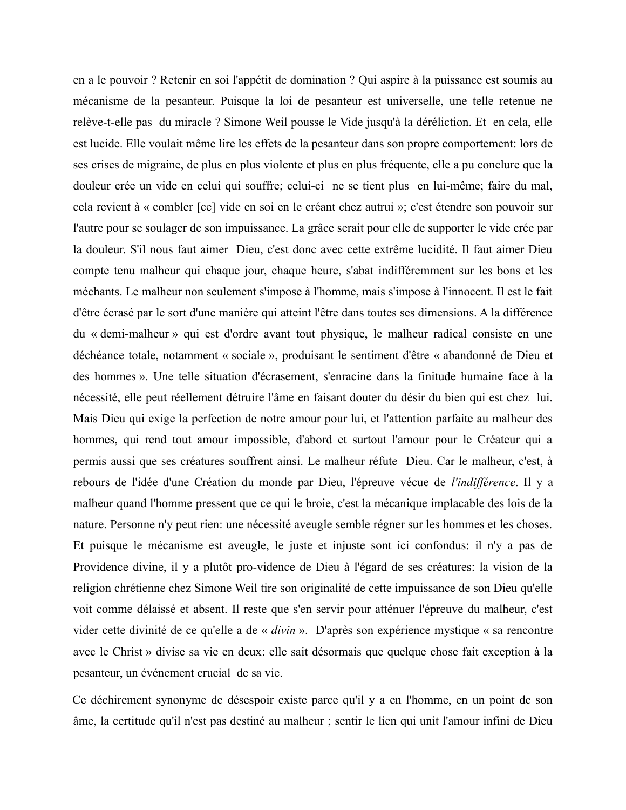en a le pouvoir ? Retenir en soi l'appétit de domination ? Qui aspire à la puissance est soumis au mécanisme de la pesanteur. Puisque la loi de pesanteur est universelle, une telle retenue ne relève-t-elle pas du miracle ? Simone Weil pousse le Vide jusqu'à la déréliction. Et en cela, elle est lucide. Elle voulait même lire les effets de la pesanteur dans son propre comportement: lors de ses crises de migraine, de plus en plus violente et plus en plus fréquente, elle a pu conclure que la douleur crée un vide en celui qui souffre; celui-ci ne se tient plus en lui-même; faire du mal, cela revient à « combler [ce] vide en soi en le créant chez autrui »; c'est étendre son pouvoir sur l'autre pour se soulager de son impuissance. La grâce serait pour elle de supporter le vide crée par la douleur. S'il nous faut aimer Dieu, c'est donc avec cette extrême lucidité. Il faut aimer Dieu compte tenu malheur qui chaque jour, chaque heure, s'abat indifféremment sur les bons et les méchants. Le malheur non seulement s'impose à l'homme, mais s'impose à l'innocent. Il est le fait d'être écrasé par le sort d'une manière qui atteint l'être dans toutes ses dimensions. A la différence du « demi-malheur » qui est d'ordre avant tout physique, le malheur radical consiste en une déchéance totale, notamment « sociale », produisant le sentiment d'être « abandonné de Dieu et des hommes ». Une telle situation d'écrasement, s'enracine dans la finitude humaine face à la nécessité, elle peut réellement détruire l'âme en faisant douter du désir du bien qui est chez lui. Mais Dieu qui exige la perfection de notre amour pour lui, et l'attention parfaite au malheur des hommes, qui rend tout amour impossible, d'abord et surtout l'amour pour le Créateur qui a permis aussi que ses créatures souffrent ainsi. Le malheur réfute Dieu. Car le malheur, c'est, à rebours de l'idée d'une Création du monde par Dieu, l'épreuve vécue de l'indifférence. Il y a malheur quand l'homme pressent que ce qui le broie, c'est la mécanique implacable des lois de la nature. Personne n'y peut rien: une nécessité aveugle semble régner sur les hommes et les choses. Et puisque le mécanisme est aveugle, le juste et injuste sont ici confondus: il n'y a pas de Providence divine, il y a plutôt pro-vidence de Dieu à l'égard de ses créatures: la vision de la religion chrétienne chez Simone Weil tire son originalité de cette impuissance de son Dieu qu'elle voit comme délaissé et absent. Il reste que s'en servir pour atténuer l'épreuve du malheur, c'est vider cette divinité de ce qu'elle a de « *divin* ». D'après son expérience mystique « sa rencontre avec le Christ » divise sa vie en deux: elle sait désormais que quelque chose fait exception à la pesanteur, un événement crucial de sa vie.

Ce déchirement synonyme de désespoir existe parce qu'il y a en l'homme, en un point de son âme, la certitude qu'il n'est pas destiné au malheur ; sentir le lien qui unit l'amour infini de Dieu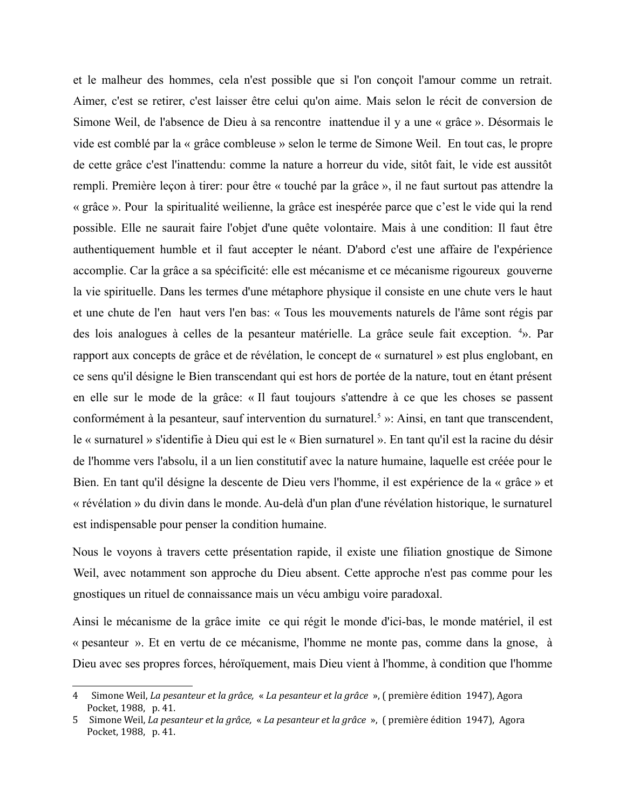et le malheur des hommes, cela n'est possible que si l'on conçoit l'amour comme un retrait. Aimer, c'est se retirer, c'est laisser être celui qu'on aime. Mais selon le récit de conversion de Simone Weil, de l'absence de Dieu à sa rencontre inattendue il y a une « grâce ». Désormais le vide est comblé par la « grâce combleuse » selon le terme de Simone Weil. En tout cas, le propre de cette grâce c'est l'inattendu: comme la nature a horreur du vide, sitôt fait, le vide est aussitôt rempli. Première leçon à tirer: pour être « touché par la grâce », il ne faut surtout pas attendre la « grâce ». Pour la spiritualité weilienne, la grâce est inespérée parce que c'est le vide qui la rend possible. Elle ne saurait faire l'objet d'une quête volontaire. Mais à une condition: Il faut être authentiquement humble et il faut accepter le néant. D'abord c'est une affaire de l'expérience accomplie. Car la grâce a sa spécificité: elle est mécanisme et ce mécanisme rigoureux gouverne la vie spirituelle. Dans les termes d'une métaphore physique il consiste en une chute vers le haut et une chute de l'en haut vers l'en bas: « Tous les mouvements naturels de l'âme sont régis par des lois analogues à celles de la pesanteur matérielle. La grâce seule fait exception. 4». Par rapport aux concepts de grâce et de révélation, le concept de « surnaturel » est plus englobant, en ce sens qu'il désigne le Bien transcendant qui est hors de portée de la nature, tout en étant présent en elle sur le mode de la grâce: « Il faut toujours s'attendre à ce que les choses se passent conformément à la pesanteur, sauf intervention du surnaturel.<sup>5</sup> »: Ainsi, en tant que transcendent, le « surnaturel » s'identifie à Dieu qui est le « Bien surnaturel ». En tant qu'il est la racine du désir de l'homme vers l'absolu, il a un lien constitutif avec la nature humaine, laquelle est créée pour le Bien. En tant qu'il désigne la descente de Dieu vers l'homme, il est expérience de la « grâce » et « révélation » du divin dans le monde. Au-delà d'un plan d'une révélation historique, le surnaturel est indispensable pour penser la condition humaine.

Nous le voyons à travers cette présentation rapide, il existe une filiation gnostique de Simone Weil, avec notamment son approche du Dieu absent. Cette approche n'est pas comme pour les gnostiques un rituel de connaissance mais un vécu ambigu voire paradoxal.

Ainsi le mécanisme de la grâce imite ce qui régit le monde d'ici-bas, le monde matériel, il est « pesanteur ». Et en vertu de ce mécanisme, l'homme ne monte pas, comme dans la gnose, à Dieu avec ses propres forces, héroïquement, mais Dieu vient à l'homme, à condition que l'homme

<span id="page-3-0"></span><sup>4</sup> Simone Weil, La pesanteur et la grâce, « La pesanteur et la grâce », (première édition 1947), Agora Pocket, 1988, p. 41.

<span id="page-3-1"></span><sup>5</sup> Simone Weil, La pesanteur et la grâce, « La pesanteur et la grâce », (première édition 1947), Agora Pocket, 1988, p. 41.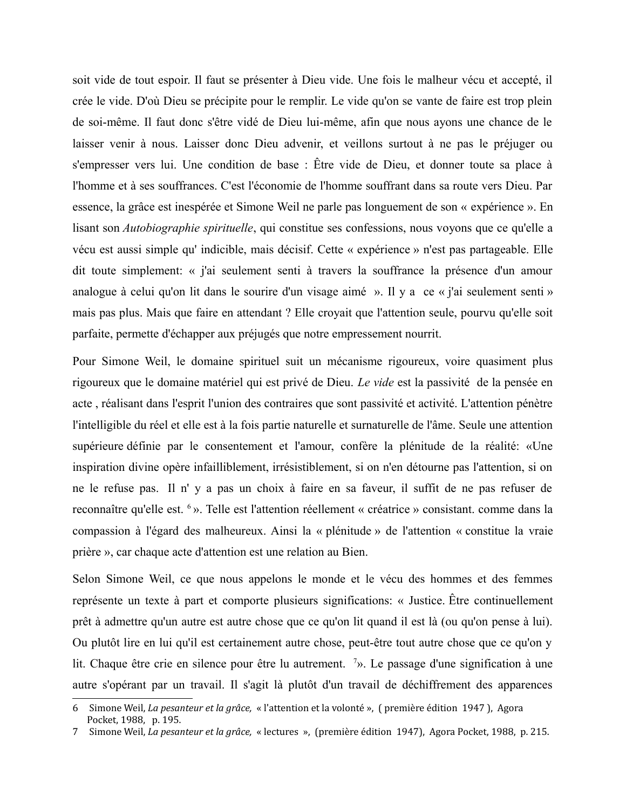soit vide de tout espoir. Il faut se présenter à Dieu vide. Une fois le malheur vécu et accepté, il crée le vide. D'où Dieu se précipite pour le remplir. Le vide qu'on se vante de faire est trop plein de soi-même. Il faut donc s'être vidé de Dieu lui-même, afin que nous ayons une chance de le laisser venir à nous. Laisser donc Dieu advenir, et veillons surtout à ne pas le préjuger ou s'empresser vers lui. Une condition de base : Être vide de Dieu, et donner toute sa place à l'homme et à ses souffrances. C'est l'économie de l'homme souffrant dans sa route vers Dieu. Par essence, la grâce est inespérée et Simone Weil ne parle pas longuement de son « expérience ». En lisant son *Autobiographie spirituelle*, qui constitue ses confessions, nous voyons que ce qu'elle a vécu est aussi simple qu'indicible, mais décisif. Cette « expérience » n'est pas partageable. Elle dit toute simplement: « j'ai seulement senti à travers la souffrance la présence d'un amour analogue à celui qu'on lit dans le sourire d'un visage aimé ». Il y a ce « j'ai seulement senti » mais pas plus. Mais que faire en attendant ? Elle croyait que l'attention seule, pourvu qu'elle soit parfaite, permette d'échapper aux préjugés que notre empressement nourrit.

Pour Simone Weil, le domaine spirituel suit un mécanisme rigoureux, voire quasiment plus rigoureux que le domaine matériel qui est privé de Dieu. Le vide est la passivité de la pensée en acte, réalisant dans l'esprit l'union des contraires que sont passivité et activité. L'attention pénètre l'intelligible du réel et elle est à la fois partie naturelle et surnaturelle de l'âme. Seule une attention supérieure définie par le consentement et l'amour, confère la plénitude de la réalité: «Une inspiration divine opère infailliblement, irrésistiblement, si on n'en détourne pas l'attention, si on ne le refuse pas. Il n' y a pas un choix à faire en sa faveur, il suffit de ne pas refuser de reconnaître qu'elle est. <sup>6</sup> ». Telle est l'attention réellement « créatrice » consistant, comme dans la compassion à l'égard des malheureux. Ainsi la « plénitude » de l'attention « constitue la vraie prière », car chaque acte d'attention est une relation au Bien.

Selon Simone Weil, ce que nous appelons le monde et le vécu des hommes et des femmes représente un texte à part et comporte plusieurs significations: « Justice. Être continuellement prêt à admettre qu'un autre est autre chose que ce qu'on lit quand il est là (ou qu'on pense à lui). Ou plutôt lire en lui qu'il est certainement autre chose, peut-être tout autre chose que ce qu'on y lit. Chaque être crie en silence pour être lu autrement.  $\frac{7}{2}$ . Le passage d'une signification à une autre s'opérant par un travail. Il s'agit là plutôt d'un travail de déchiffrement des apparences

<span id="page-4-0"></span><sup>6</sup> Simone Weil, La pesanteur et la grâce, « l'attention et la volonté », (première édition 1947), Agora Pocket, 1988, p. 195.

<span id="page-4-1"></span>Simone Weil, La pesanteur et la grâce, « lectures », (première édition 1947), Agora Pocket, 1988, p. 215. 7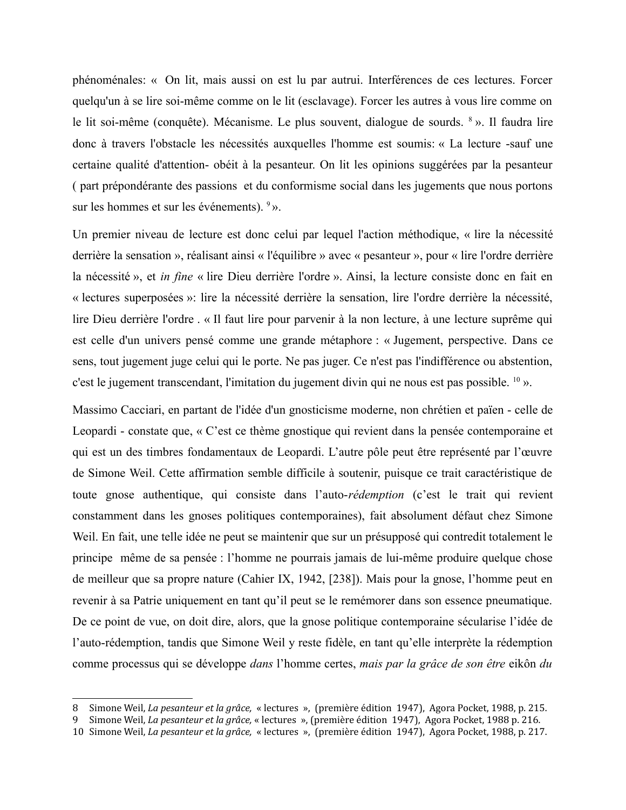phénoménales: « On lit, mais aussi on est lu par autrui, Interférences de ces lectures. Forcer quelqu'un à se lire soi-même comme on le lit (esclavage). Forcer les autres à vous lire comme on le lit soi-même (conquête). Mécanisme. Le plus souvent, dialogue de sourds. 8 ». Il faudra lire donc à travers l'obstacle les nécessités auxquelles l'homme est soumis: « La lecture -sauf une certaine qualité d'attention- obéit à la pesanteur. On lit les opinions suggérées par la pesanteur (part prépondérante des passions et du conformisme social dans les jugements que nous portons sur les hommes et sur les événements).  $9$ .

Un premier niveau de lecture est donc celui par lequel l'action méthodique, « lire la nécessité derrière la sensation », réalisant ainsi « l'équilibre » avec « pesanteur », pour « lire l'ordre derrière la nécessité », et *in fine* « lire Dieu derrière l'ordre ». Ainsi, la lecture consiste donc en fait en « lectures superposées »: lire la nécessité derrière la sensation, lire l'ordre derrière la nécessité, lire Dieu derrière l'ordre . « Il faut lire pour parvenir à la non lecture, à une lecture suprême qui est celle d'un univers pensé comme une grande métaphore : « Jugement, perspective. Dans ce sens, tout jugement juge celui qui le porte. Ne pas juger. Ce n'est pas l'indifférence ou abstention, c'est le jugement transcendant, l'imitation du jugement divin qui ne nous est pas possible. <sup>10</sup> ».

Massimo Cacciari, en partant de l'idée d'un gnosticisme moderne, non chrétien et païen - celle de Leopardi - constate que, « C'est ce thème gnostique qui revient dans la pensée contemporaine et qui est un des timbres fondamentaux de Leopardi. L'autre pôle peut être représenté par l'œuvre de Simone Weil. Cette affirmation semble difficile à soutenir, puisque ce trait caractéristique de toute gnose authentique, qui consiste dans l'auto-rédemption (c'est le trait qui revient constamment dans les gnoses politiques contemporaines), fait absolument défaut chez Simone Weil. En fait, une telle idée ne peut se maintenir que sur un présupposé qui contredit totalement le principe même de sa pensée : l'homme ne pourrais jamais de lui-même produire quelque chose de meilleur que sa propre nature (Cahier IX, 1942, [238]). Mais pour la gnose, l'homme peut en revenir à sa Patrie uniquement en tant qu'il peut se le remémorer dans son essence pneumatique. De ce point de vue, on doit dire, alors, que la gnose politique contemporaine sécularise l'idée de l'auto-rédemption, tandis que Simone Weil y reste fidèle, en tant qu'elle interprète la rédemption comme processus qui se développe *dans* l'homme certes, *mais par la grâce de son être* eikôn *du* 

<span id="page-5-0"></span><sup>8</sup> Simone Weil, *La pesanteur et la grâce*, « lectures », (première édition 1947), Agora Pocket, 1988, p. 215.

<span id="page-5-1"></span>Simone Weil, La pesanteur et la grâce, « lectures », (première édition 1947), Agora Pocket, 1988 p. 216.

<span id="page-5-2"></span><sup>10</sup> Simone Weil, La pesanteur et la grâce, « lectures », (première édition 1947), Agora Pocket, 1988, p. 217.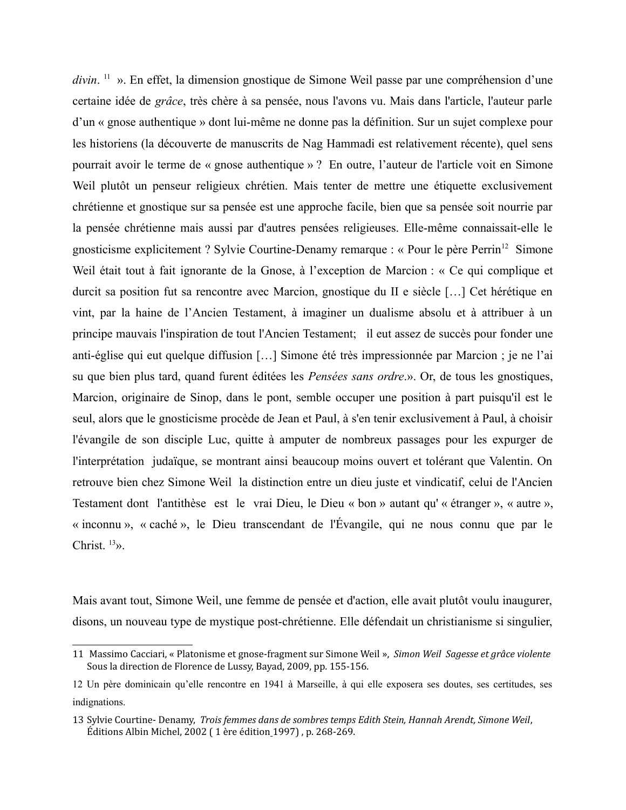$divin$ . <sup>11</sup> ». En effet, la dimension gnostique de Simone Weil passe par une compréhension d'une certaine idée de grâce, très chère à sa pensée, nous l'avons vu. Mais dans l'article, l'auteur parle d'un « gnose authentique » dont lui-même ne donne pas la définition. Sur un sujet complexe pour les historiens (la découverte de manuscrits de Nag Hammadi est relativement récente), quel sens pourrait avoir le terme de « gnose authentique »? En outre, l'auteur de l'article voit en Simone Weil plutôt un penseur religieux chrétien. Mais tenter de mettre une étiquette exclusivement chrétienne et gnostique sur sa pensée est une approche facile, bien que sa pensée soit nourrie par la pensée chrétienne mais aussi par d'autres pensées religieuses. Elle-même connaissait-elle le gnosticisme explicitement ? Sylvie Courtine-Denamy remarque : « Pour le père Perrin<sup>12</sup> Simone Weil était tout à fait ignorante de la Gnose, à l'exception de Marcion : « Ce qui complique et durcit sa position fut sa rencontre avec Marcion, gnostique du II e siècle [...] Cet hérétique en vint, par la haine de l'Ancien Testament, à imaginer un dualisme absolu et à attribuer à un principe mauvais l'inspiration de tout l'Ancien Testament; il eut assez de succès pour fonder une anti-église qui eut quelque diffusion [...] Simone été très impressionnée par Marcion ; je ne l'ai su que bien plus tard, quand furent éditées les *Pensées sans ordre.»*. Or, de tous les gnostiques, Marcion, originaire de Sinop, dans le pont, semble occuper une position à part puisqu'il est le seul, alors que le gnosticisme procède de Jean et Paul, à s'en tenir exclusivement à Paul, à choisir l'évangile de son disciple Luc, quitte à amputer de nombreux passages pour les expurger de l'interprétation judaïque, se montrant ainsi beaucoup moins ouvert et tolérant que Valentin. On retrouve bien chez Simone Weil la distinction entre un dieu juste et vindicatif, celui de l'Ancien Testament dont l'antithèse est le vrai Dieu, le Dieu « bon » autant qu' « étranger », « autre », « inconnu », « caché », le Dieu transcendant de l'Évangile, qui ne nous connu que par le Christ.  $^{13}$ .

Mais avant tout, Simone Weil, une femme de pensée et d'action, elle avait plutôt voulu inaugurer, disons, un nouveau type de mystique post-chrétienne. Elle défendait un christianisme si singulier,

<span id="page-6-0"></span><sup>11</sup> Massimo Cacciari, « Platonisme et gnose-fragment sur Simone Weil », Simon Weil Sagesse et grâce violente Sous la direction de Florence de Lussy, Bayad, 2009, pp. 155-156.

<span id="page-6-1"></span><sup>12</sup> Un père dominicain qu'elle rencontre en 1941 à Marseille, à qui elle exposera ses doutes, ses certitudes, ses indignations.

<span id="page-6-2"></span><sup>13</sup> Sylvie Courtine- Denamy, Trois femmes dans de sombres temps Edith Stein, Hannah Arendt, Simone Weil, Éditions Albin Michel, 2002 (1 ère édition 1997), p. 268-269.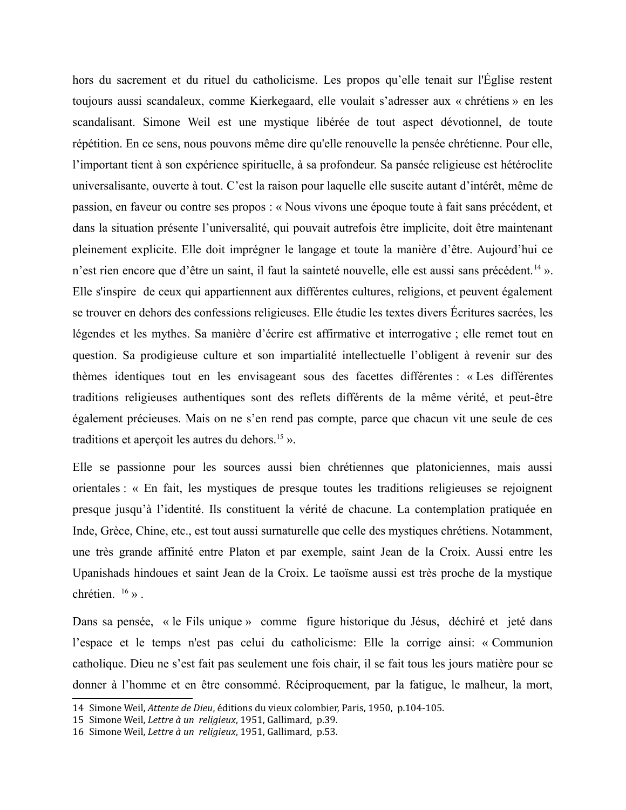hors du sacrement et du rituel du catholicisme. Les propos qu'elle tenait sur l'Église restent toujours aussi scandaleux, comme Kierkegaard, elle voulait s'adresser aux « chrétiens » en les scandalisant. Simone Weil est une mystique libérée de tout aspect dévotionnel, de toute répétition. En ce sens, nous pouvons même dire qu'elle renouvelle la pensée chrétienne. Pour elle, l'important tient à son expérience spirituelle, à sa profondeur. Sa pansée religieuse est hétéroclite universalisante, ouverte à tout. C'est la raison pour laquelle elle suscite autant d'intérêt, même de passion, en faveur ou contre ses propos : « Nous vivons une époque toute à fait sans précédent, et dans la situation présente l'universalité, qui pouvait autrefois être implicite, doit être maintenant pleinement explicite. Elle doit imprégner le langage et toute la manière d'être. Aujourd'hui ce n'est rien encore que d'être un saint, il faut la sainteté nouvelle, elle est aussi sans précédent.<sup>14</sup> ». Elle s'inspire de ceux qui appartiennent aux différentes cultures, religions, et peuvent également se trouver en dehors des confessions religieuses. Elle étudie les textes divers Écritures sacrées, les légendes et les mythes. Sa manière d'écrire est affirmative et interrogative ; elle remet tout en question. Sa prodigieuse culture et son impartialité intellectuelle l'obligent à revenir sur des thèmes identiques tout en les envisageant sous des facettes différentes : « Les différentes traditions religieuses authentiques sont des reflets différents de la même vérité, et peut-être également précieuses. Mais on ne s'en rend pas compte, parce que chacun vit une seule de ces traditions et apercoit les autres du dehors.<sup>15</sup> ».

Elle se passionne pour les sources aussi bien chrétiennes que platoniciennes, mais aussi orientales : « En fait, les mystiques de presque toutes les traditions religieuses se rejoignent presque jusqu'à l'identité. Ils constituent la vérité de chacune. La contemplation pratiquée en Inde, Grèce, Chine, etc., est tout aussi surnaturelle que celle des mystiques chrétiens. Notamment, une très grande affinité entre Platon et par exemple, saint Jean de la Croix. Aussi entre les Upanishads hindoues et saint Jean de la Croix. Le taoïsme aussi est très proche de la mystique chrétien.  $16 \times$ .

Dans sa pensée, « le Fils unique » comme figure historique du Jésus, déchiré et jeté dans l'espace et le temps n'est pas celui du catholicisme: Elle la corrige ainsi: « Communion catholique. Dieu ne s'est fait pas seulement une fois chair, il se fait tous les jours matière pour se donner à l'homme et en être consommé. Réciproquement, par la fatigue, le malheur, la mort,

<span id="page-7-0"></span><sup>14</sup> Simone Weil, Attente de Dieu, éditions du vieux colombier, Paris, 1950, p.104-105.

<span id="page-7-1"></span><sup>15</sup> Simone Weil, Lettre à un religieux, 1951, Gallimard, p.39.

<span id="page-7-2"></span><sup>16</sup> Simone Weil, Lettre à un religieux, 1951, Gallimard, p.53.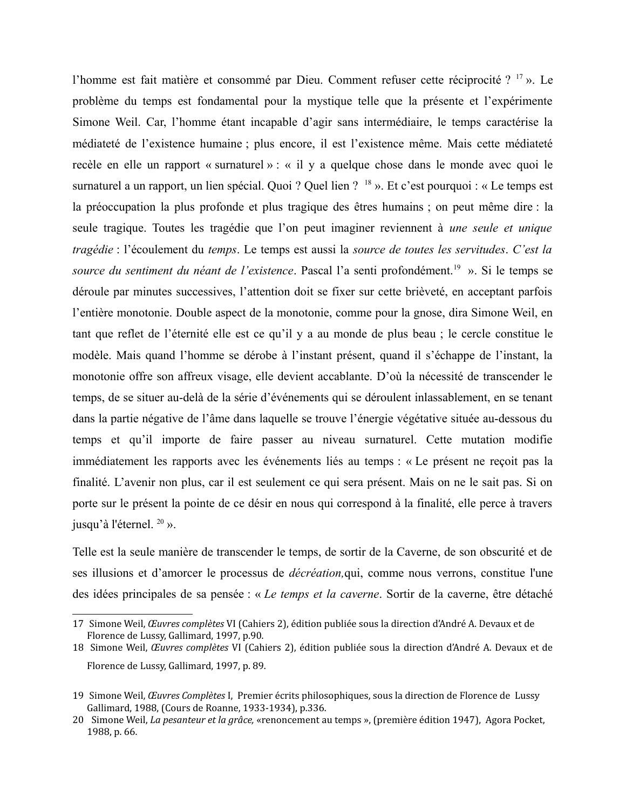l'homme est fait matière et consommé par Dieu. Comment refuser cette réciprocité ?<sup>17</sup>». Le problème du temps est fondamental pour la mystique telle que la présente et l'expérimente Simone Weil. Car, l'homme étant incapable d'agir sans intermédiaire, le temps caractérise la médiateté de l'existence humaine ; plus encore, il est l'existence même. Mais cette médiateté recèle en elle un rapport « surnaturel » : « il y a quelque chose dans le monde avec quoi le surnaturel a un rapport, un lien spécial. Quoi ? Quel lien ? <sup>18</sup> ». Et c'est pourquoi : « Le temps est la préoccupation la plus profonde et plus tragique des êtres humains; on peut même dire : la seule tragique. Toutes les tragédie que l'on peut imaginer reviennent à *une seule et unique* tragédie : l'écoulement du temps. Le temps est aussi la source de toutes les servitudes. C'est la source du sentiment du néant de l'existence. Pascal l'a senti profondément.<sup>19</sup> ». Si le temps se déroule par minutes successives, l'attention doit se fixer sur cette brièveté, en acceptant parfois l'entière monotonie. Double aspect de la monotonie, comme pour la gnose, dira Simone Weil, en tant que reflet de l'éternité elle est ce qu'il y a au monde de plus beau ; le cercle constitue le modèle. Mais quand l'homme se dérobe à l'instant présent, quand il s'échappe de l'instant, la monotonie offre son affreux visage, elle devient accablante. D'où la nécessité de transcender le temps, de se situer au-delà de la série d'événements qui se déroulent inlassablement, en se tenant dans la partie négative de l'âme dans laquelle se trouve l'énergie végétative située au-dessous du temps et qu'il importe de faire passer au niveau surnaturel. Cette mutation modifie immédiatement les rapports avec les événements liés au temps : « Le présent ne reçoit pas la finalité. L'avenir non plus, car il est seulement ce qui sera présent. Mais on ne le sait pas. Si on porte sur le présent la pointe de ce désir en nous qui correspond à la finalité, elle perce à travers jusqu'à l'éternel.<sup>20</sup> ».

Telle est la seule manière de transcender le temps, de sortir de la Caverne, de son obscurité et de ses illusions et d'amorcer le processus de *décréation*, qui, comme nous verrons, constitue l'une des idées principales de sa pensée : « Le temps et la caverne. Sortir de la caverne, être détaché

<span id="page-8-0"></span><sup>17</sup> Simone Weil, Œuvres complètes VI (Cahiers 2), édition publiée sous la direction d'André A. Devaux et de Florence de Lussy, Gallimard, 1997, p.90.

<span id="page-8-1"></span><sup>18</sup> Simone Weil, Œuvres complètes VI (Cahiers 2), édition publiée sous la direction d'André A. Devaux et de Florence de Lussy, Gallimard, 1997, p. 89.

<span id="page-8-2"></span><sup>19</sup> Simone Weil, Œuvres Complètes I, Premier écrits philosophiques, sous la direction de Florence de Lussy Gallimard, 1988, (Cours de Roanne, 1933-1934), p.336.

<span id="page-8-3"></span><sup>20</sup> Simone Weil, La pesanteur et la grâce, «renoncement au temps », (première édition 1947), Agora Pocket, 1988, p. 66.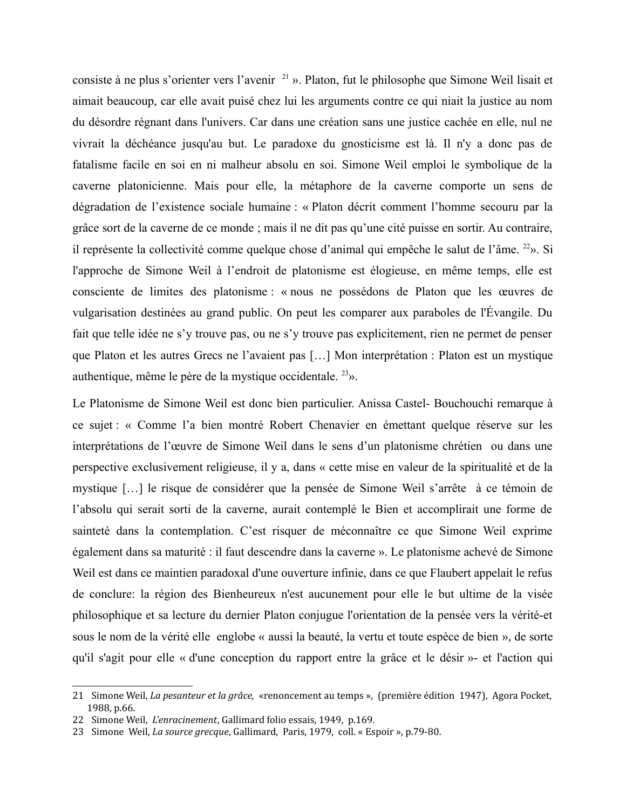consiste à ne plus s'orienter vers l'avenir<sup>21</sup>». Platon, fut le philosophe que Simone Weil lisait et aimait beaucoup, car elle avait puisé chez lui les arguments contre ce qui niait la justice au nom du désordre régnant dans l'univers. Car dans une création sans une justice cachée en elle, nul ne vivrait la déchéance jusqu'au but. Le paradoxe du gnosticisme est là. Il n'y a donc pas de fatalisme facile en soi en ni malheur absolu en soi. Simone Weil emploi le symbolique de la caverne platonicienne. Mais pour elle, la métaphore de la caverne comporte un sens de dégradation de l'existence sociale humaine : « Platon décrit comment l'homme secouru par la grâce sort de la caverne de ce monde; mais il ne dit pas qu'une cité puisse en sortir. Au contraire, il représente la collectivité comme quelque chose d'animal qui empêche le salut de l'âme. <sup>22</sup>». Si l'approche de Simone Weil à l'endroit de platonisme est élogieuse, en même temps, elle est consciente de limites des platonisme : « nous ne possédons de Platon que les œuvres de vulgarisation destinées au grand public. On peut les comparer aux paraboles de l'Évangile. Du fait que telle idée ne s'y trouve pas, ou ne s'y trouve pas explicitement, rien ne permet de penser que Platon et les autres Grecs ne l'avaient pas [...] Mon interprétation : Platon est un mystique authentique, même le père de la mystique occidentale.  $23$ ».

Le Platonisme de Simone Weil est donc bien particulier. Anissa Castel- Bouchouchi remarque à ce sujet : « Comme l'a bien montré Robert Chenavier en émettant quelque réserve sur les interprétations de l'œuvre de Simone Weil dans le sens d'un platonisme chrétien ou dans une perspective exclusivement religieuse, il y a, dans « cette mise en valeur de la spiritualité et de la mystique [...] le risque de considérer que la pensée de Simone Weil s'arrête à ce témoin de l'absolu qui serait sorti de la caverne, aurait contemplé le Bien et accomplirait une forme de sainteté dans la contemplation. C'est risquer de méconnaître ce que Simone Weil exprime également dans sa maturité : il faut descendre dans la caverne ». Le platonisme achevé de Simone Weil est dans ce maintien paradoxal d'une ouverture infinie, dans ce que Flaubert appelait le refus de conclure: la région des Bienheureux n'est aucunement pour elle le but ultime de la visée philosophique et sa lecture du dernier Platon conjugue l'orientation de la pensée vers la vérité-et sous le nom de la vérité elle englobe « aussi la beauté, la vertu et toute espèce de bien », de sorte qu'il s'agit pour elle « d'une conception du rapport entre la grâce et le désir »- et l'action qui

<span id="page-9-0"></span><sup>21</sup> Simone Weil, La pesanteur et la grâce, «renoncement au temps », (première édition 1947), Agora Pocket, 1988. p.66.

<span id="page-9-1"></span><sup>22</sup> Simone Weil, L'enracinement, Gallimard folio essais, 1949, p.169.

<span id="page-9-2"></span><sup>23</sup> Simone Weil, La source grecque, Gallimard, Paris, 1979, coll. « Espoir », p.79-80.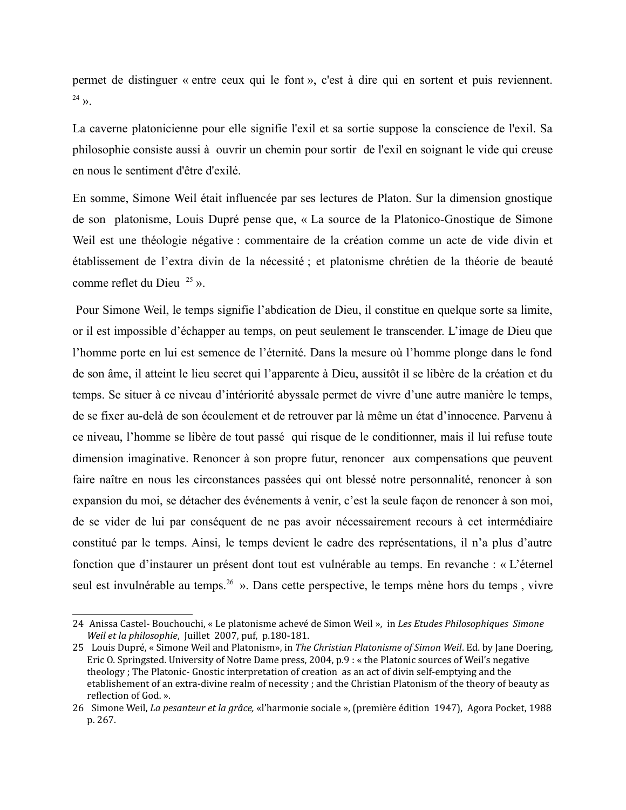permet de distinguer « entre ceux qui le font », c'est à dire qui en sortent et puis reviennent.  $24 \rightarrow$ 

La caverne platonicienne pour elle signifie l'exil et sa sortie suppose la conscience de l'exil. Sa philosophie consiste aussi à ouvrir un chemin pour sortir de l'exil en soignant le vide qui creuse en nous le sentiment d'être d'exilé

En somme, Simone Weil était influencée par ses lectures de Platon. Sur la dimension gnostique de son platonisme, Louis Dupré pense que, « La source de la Platonico-Gnostique de Simone Weil est une théologie négative : commentaire de la création comme un acte de vide divin et établissement de l'extra divin de la nécessité ; et platonisme chrétien de la théorie de beauté comme reflet du Dieu  $^{25}$  ».

Pour Simone Weil, le temps signifie l'abdication de Dieu, il constitue en quelque sorte sa limite, or il est impossible d'échapper au temps, on peut seulement le transcender. L'image de Dieu que l'homme porte en lui est semence de l'éternité. Dans la mesure où l'homme plonge dans le fond de son âme, il atteint le lieu secret qui l'apparente à Dieu, aussitôt il se libère de la création et du temps. Se situer à ce niveau d'intériorité abyssale permet de vivre d'une autre manière le temps, de se fixer au-delà de son écoulement et de retrouver par là même un état d'innocence. Parvenu à ce niveau, l'homme se libère de tout passé qui risque de le conditionner, mais il lui refuse toute dimension imaginative. Renoncer à son propre futur, renoncer aux compensations que peuvent faire naître en nous les circonstances passées qui ont blessé notre personnalité, renoncer à son expansion du moi, se détacher des événements à venir, c'est la seule façon de renoncer à son moi, de se vider de lui par conséquent de ne pas avoir nécessairement recours à cet intermédiaire constitué par le temps. Ainsi, le temps devient le cadre des représentations, il n'a plus d'autre fonction que d'instaurer un présent dont tout est vulnérable au temps. En revanche : « L'éternel seul est invulnérable au temps.<sup>26</sup> ». Dans cette perspective, le temps mène hors du temps, vivre

<span id="page-10-0"></span><sup>24</sup> Anissa Castel- Bouchouchi, « Le platonisme achevé de Simon Weil », in Les Etudes Philosophiques Simone Weil et la philosophie, Juillet 2007, puf, p.180-181.

<span id="page-10-1"></span><sup>25</sup> Louis Dupré, « Simone Weil and Platonism», in The Christian Platonisme of Simon Weil. Ed. by Jane Doering, Eric O. Springsted. University of Notre Dame press, 2004, p.9 : « the Platonic sources of Weil's negative theology; The Platonic- Gnostic interpretation of creation as an act of divin self-emptying and the etablishement of an extra-divine realm of necessity; and the Christian Platonism of the theory of beauty as reflection of God. ».

<span id="page-10-2"></span><sup>26</sup> Simone Weil, La pesanteur et la grâce, «l'harmonie sociale », (première édition 1947), Agora Pocket, 1988 p. 267.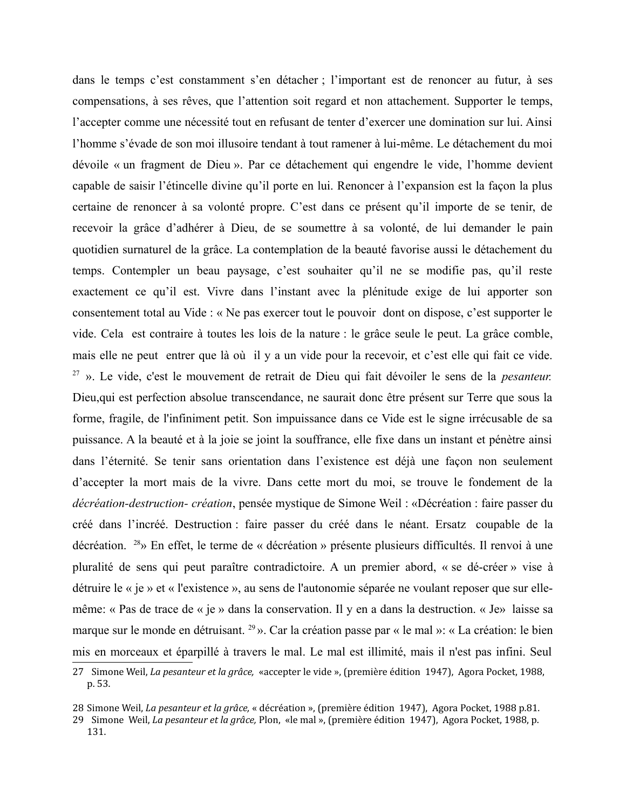dans le temps c'est constamment s'en détacher ; l'important est de renoncer au futur, à ses compensations, à ses rêves, que l'attention soit regard et non attachement. Supporter le temps, l'accepter comme une nécessité tout en refusant de tenter d'exercer une domination sur lui. Ainsi l'homme s'évade de son moi illusoire tendant à tout ramener à lui-même. Le détachement du moi dévoile « un fragment de Dieu ». Par ce détachement qui engendre le vide, l'homme devient capable de saisir l'étincelle divine qu'il porte en lui. Renoncer à l'expansion est la façon la plus certaine de renoncer à sa volonté propre. C'est dans ce présent qu'il importe de se tenir, de recevoir la grâce d'adhérer à Dieu, de se soumettre à sa volonté, de lui demander le pain quotidien surnaturel de la grâce. La contemplation de la beauté favorise aussi le détachement du temps. Contempler un beau paysage, c'est souhaiter qu'il ne se modifie pas, qu'il reste exactement ce qu'il est. Vivre dans l'instant avec la plénitude exige de lui apporter son consentement total au Vide : « Ne pas exercer tout le pouvoir dont on dispose, c'est supporter le vide. Cela est contraire à toutes les lois de la nature : le grâce seule le peut. La grâce comble, mais elle ne peut entrer que là où il y a un vide pour la recevoir, et c'est elle qui fait ce vide.  $27 \nu$ . Le vide, c'est le mouvement de retrait de Dieu qui fait dévoiler le sens de la *pesanteur*. Dieu, qui est perfection absolue transcendance, ne saurait donc être présent sur Terre que sous la forme, fragile, de l'infiniment petit. Son impuissance dans ce Vide est le signe irrécusable de sa puissance. A la beauté et à la joie se joint la souffrance, elle fixe dans un instant et pénètre ainsi dans l'éternité. Se tenir sans orientation dans l'existence est déjà une façon non seulement d'accepter la mort mais de la vivre. Dans cette mort du moi, se trouve le fondement de la *décréation-destruction- création*, pensée mystique de Simone Weil : «Décréation : faire passer du créé dans l'incréé. Destruction : faire passer du créé dans le néant. Ersatz coupable de la décréation. <sup>28</sup>» En effet, le terme de « décréation » présente plusieurs difficultés. Il renvoi à une pluralité de sens qui peut paraître contradictoire. A un premier abord, « se dé-créer » vise à détruire le « je » et « l'existence », au sens de l'autonomie séparée ne voulant reposer que sur ellemême: « Pas de trace de « je » dans la conservation. Il y en a dans la destruction. « Je» laisse sa marque sur le monde en détruisant. <sup>29</sup> ». Car la création passe par « le mal »: « La création: le bien mis en morceaux et éparpillé à travers le mal. Le mal est illimité, mais il n'est pas infini. Seul

<span id="page-11-0"></span><sup>27</sup> Simone Weil, La pesanteur et la grâce, «accepter le vide », (première édition 1947), Agora Pocket, 1988, p. 53.

<span id="page-11-1"></span><sup>28</sup> Simone Weil, La pesanteur et la grâce, « décréation », (première édition 1947), Agora Pocket, 1988 p.81.

<span id="page-11-2"></span><sup>29</sup> Simone Weil, La pesanteur et la grâce, Plon, «le mal », (première édition 1947), Agora Pocket, 1988, p. 131.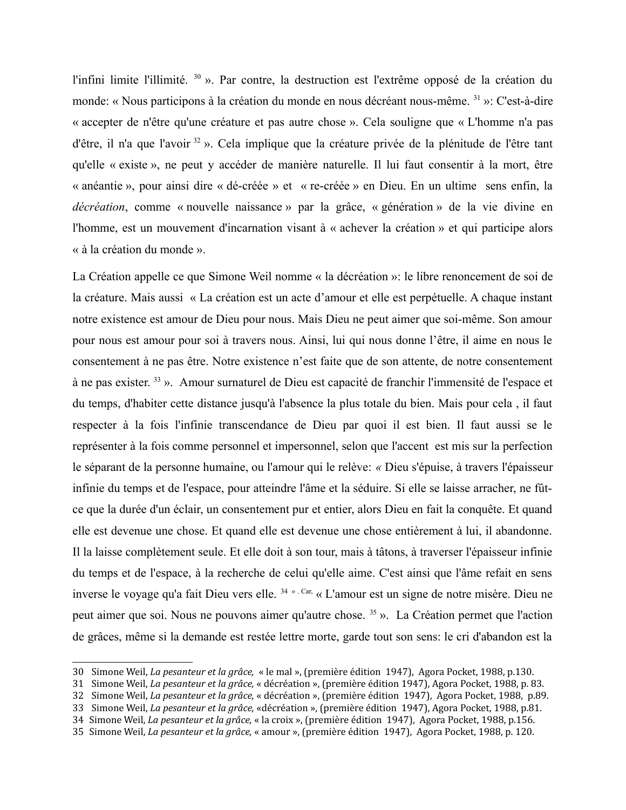l'infini limite l'illimité. <sup>30</sup> ». Par contre, la destruction est l'extrême opposé de la création du monde: « Nous participons à la création du monde en nous décréant nous-même. <sup>31</sup> »: C'est-à-dire « accepter de n'être qu'une créature et pas autre chose ». Cela souligne que « L'homme n'a pas d'être, il n'a que l'avoir <sup>32</sup> ». Cela implique que la créature privée de la plénitude de l'être tant qu'elle « existe », ne peut y accéder de manière naturelle. Il lui faut consentir à la mort, être « anéantie », pour ainsi dire « dé-créée » et « re-créée » en Dieu. En un ultime sens enfin, la *décréation*, comme « nouvelle naissance » par la grâce, « génération » de la vie divine en l'homme, est un mouvement d'incarnation visant à « achever la création » et qui participe alors « à la création du monde ».

La Création appelle ce que Simone Weil nomme « la décréation »: le libre renoncement de soi de la créature. Mais aussi « La création est un acte d'amour et elle est perpétuelle. A chaque instant notre existence est amour de Dieu pour nous. Mais Dieu ne peut aimer que soi-même. Son amour pour nous est amour pour soi à travers nous. Ainsi, lui qui nous donne l'être, il aime en nous le consentement à ne pas être. Notre existence n'est faite que de son attente, de notre consentement à ne pas exister.<sup>33</sup> ». Amour surnaturel de Dieu est capacité de franchir l'immensité de l'espace et du temps, d'habiter cette distance jusqu'à l'absence la plus totale du bien. Mais pour cela, il faut respecter à la fois l'infinie transcendance de Dieu par quoi il est bien. Il faut aussi se le représenter à la fois comme personnel et impersonnel, selon que l'accent est mis sur la perfection le séparant de la personne humaine, ou l'amour qui le relève: « Dieu s'épuise, à travers l'épaisseur infinie du temps et de l'espace, pour atteindre l'âme et la séduire. Si elle se laisse arracher, ne fûtce que la durée d'un éclair, un consentement pur et entier, alors Dieu en fait la conquête. Et quand elle est devenue une chose. Et quand elle est devenue une chose entièrement à lui, il abandonne. Il la laisse complètement seule. Et elle doit à son tour, mais à tâtons, à traverser l'épaisseur infinie du temps et de l'espace, à la recherche de celui qu'elle aime. C'est ainsi que l'âme refait en sens inverse le voyage qu'a fait Dieu vers elle.<sup>34 » . Car,</sup> « L'amour est un signe de notre misère. Dieu ne peut aimer que soi. Nous ne pouvons aimer qu'autre chose. 35 ». La Création permet que l'action de grâces, même si la demande est restée lettre morte, garde tout son sens: le cri d'abandon est la

<span id="page-12-0"></span><sup>30</sup> Simone Weil, La pesanteur et la grâce, « le mal », (première édition 1947), Agora Pocket, 1988, p.130.

<span id="page-12-1"></span><sup>31</sup> Simone Weil, La pesanteur et la grâce, « décréation », (première édition 1947), Agora Pocket, 1988, p. 83.

<span id="page-12-2"></span><sup>32</sup> Simone Weil, La pesanteur et la grâce, « décréation », (première édition 1947), Agora Pocket, 1988, p.89.

<span id="page-12-3"></span><sup>33</sup> Simone Weil, La pesanteur et la grâce, «décréation », (première édition 1947), Agora Pocket, 1988, p.81.

<span id="page-12-4"></span><sup>34</sup> Simone Weil, La pesanteur et la grâce, « la croix », (première édition 1947), Agora Pocket, 1988, p.156.

<span id="page-12-5"></span><sup>35</sup> Simone Weil, La pesanteur et la grâce, « amour », (première édition 1947), Agora Pocket, 1988, p. 120.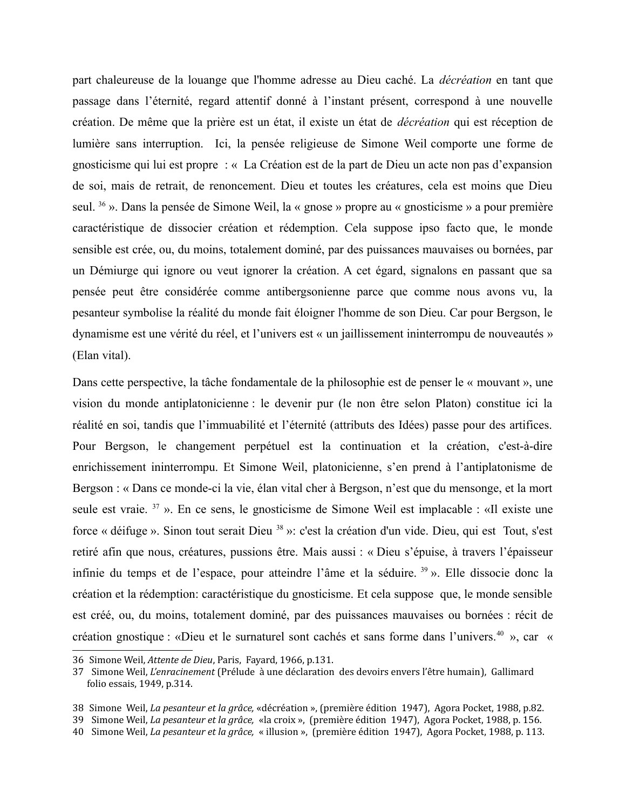part chaleureuse de la louange que l'homme adresse au Dieu caché. La *décréation* en tant que passage dans l'éternité, regard attentif donné à l'instant présent, correspond à une nouvelle création. De même que la prière est un état, il existe un état de *décréation* qui est réception de lumière sans interruption. Ici, la pensée religieuse de Simone Weil comporte une forme de gnosticisme qui lui est propre : « La Création est de la part de Dieu un acte non pas d'expansion de soi, mais de retrait, de renoncement. Dieu et toutes les créatures, cela est moins que Dieu seul. 36 ». Dans la pensée de Simone Weil, la « gnose » propre au « gnosticisme » a pour première caractéristique de dissocier création et rédemption. Cela suppose ipso facto que, le monde sensible est crée, ou, du moins, totalement dominé, par des puissances mauvaises ou bornées, par un Démiurge qui ignore ou veut ignorer la création. A cet égard, signalons en passant que sa pensée peut être considérée comme antibergsonienne parce que comme nous avons vu, la pesanteur symbolise la réalité du monde fait éloigner l'homme de son Dieu. Car pour Bergson, le dynamisme est une vérité du réel, et l'univers est « un jaillissement ininterrompu de nouveautés » (Elan vital).

Dans cette perspective, la tâche fondamentale de la philosophie est de penser le « mouvant », une vision du monde antiplatonicienne : le devenir pur (le non être selon Platon) constitue ici la réalité en soi, tandis que l'immuabilité et l'éternité (attributs des Idées) passe pour des artifices. Pour Bergson, le changement perpétuel est la continuation et la création, c'est-à-dire enrichissement ininterrompu. Et Simone Weil, platonicienne, s'en prend à l'antiplatonisme de Bergson : « Dans ce monde-ci la vie, élan vital cher à Bergson, n'est que du mensonge, et la mort seule est vraie.<sup>37</sup> ». En ce sens, le gnosticisme de Simone Weil est implacable : «Il existe une force « déifuge ». Sinon tout serait Dieu <sup>38</sup> »: c'est la création d'un vide. Dieu, qui est Tout, s'est retiré afin que nous, créatures, pussions être. Mais aussi : « Dieu s'épuise, à travers l'épaisseur infinie du temps et de l'espace, pour atteindre l'âme et la séduire.<sup>39</sup> ». Elle dissocie donc la création et la rédemption: caractéristique du gnosticisme. Et cela suppose que, le monde sensible est créé, ou, du moins, totalement dominé, par des puissances mauvaises ou bornées : récit de création gnostique : «Dieu et le surnaturel sont cachés et sans forme dans l'univers.<sup>40</sup> », car «

<span id="page-13-0"></span><sup>36</sup> Simone Weil, Attente de Dieu, Paris, Fayard, 1966, p.131.

<span id="page-13-1"></span><sup>37</sup> Simone Weil, L'enracinement (Prélude à une déclaration des devoirs envers l'être humain), Gallimard folio essais, 1949, p.314.

<span id="page-13-2"></span><sup>38</sup> Simone Weil, La pesanteur et la grâce, «décréation », (première édition 1947), Agora Pocket, 1988, p.82.

<span id="page-13-3"></span><sup>39</sup> Simone Weil, La pesanteur et la grâce, «la croix», (première édition 1947), Agora Pocket, 1988, p. 156.

<span id="page-13-4"></span><sup>40</sup> Simone Weil, La pesanteur et la grâce, « illusion », (première édition 1947), Agora Pocket, 1988, p. 113.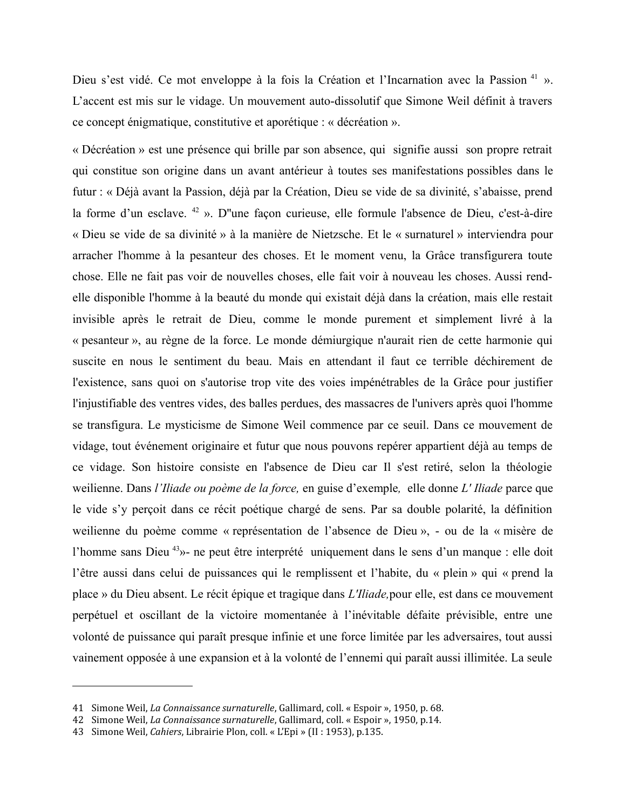Dieu s'est vidé. Ce mot enveloppe à la fois la Création et l'Incarnation avec la Passion<sup>41</sup> ». L'accent est mis sur le vidage. Un mouvement auto-dissolutif que Simone Weil définit à travers ce concept énigmatique, constitutive et aporétique : « décréation ».

« Décréation » est une présence qui brille par son absence, qui signifie aussi son propre retrait qui constitue son origine dans un avant antérieur à toutes ses manifestations possibles dans le futur : « Déjà avant la Passion, déjà par la Création, Dieu se vide de sa divinité, s'abaisse, prend la forme d'un esclave. <sup>42</sup> ». D''une façon curieuse, elle formule l'absence de Dieu, c'est-à-dire « Dieu se vide de sa divinité » à la manière de Nietzsche. Et le « surnaturel » interviendra pour arracher l'homme à la pesanteur des choses. Et le moment venu, la Grâce transfigurera toute chose. Elle ne fait pas voir de nouvelles choses, elle fait voir à nouveau les choses. Aussi rendelle disponible l'homme à la beauté du monde qui existait déjà dans la création, mais elle restait invisible après le retrait de Dieu, comme le monde purement et simplement livré à la « pesanteur », au règne de la force. Le monde démiurgique n'aurait rien de cette harmonie qui suscite en nous le sentiment du beau. Mais en attendant il faut ce terrible déchirement de l'existence, sans quoi on s'autorise trop vite des voies impénétrables de la Grâce pour justifier l'injustifiable des ventres vides, des balles perdues, des massacres de l'univers après quoi l'homme se transfigura. Le mysticisme de Simone Weil commence par ce seuil. Dans ce mouvement de vidage, tout événement originaire et futur que nous pouvons repérer appartient déjà au temps de ce vidage. Son histoire consiste en l'absence de Dieu car Il s'est retiré, selon la théologie weilienne. Dans l'Iliade ou poème de la force, en guise d'exemple, elle donne L'Iliade parce que le vide s'y perçoit dans ce récit poétique chargé de sens. Par sa double polarité, la définition weilienne du poème comme « représentation de l'absence de Dieu », - ou de la « misère de l'homme sans Dieu<sup>43</sup>»- ne peut être interprété uniquement dans le sens d'un manque : elle doit l'être aussi dans celui de puissances qui le remplissent et l'habite, du « plein » qui « prend la place » du Dieu absent. Le récit épique et tragique dans *L'Iliade*, pour elle, est dans ce mouvement perpétuel et oscillant de la victoire momentanée à l'inévitable défaite prévisible, entre une volonté de puissance qui paraît presque infinie et une force limitée par les adversaires, tout aussi vainement opposée à une expansion et à la volonté de l'ennemi qui paraît aussi illimitée. La seule

<span id="page-14-0"></span><sup>41</sup> Simone Weil, La Connaissance surnaturelle, Gallimard, coll. « Espoir », 1950, p. 68.

<span id="page-14-1"></span><sup>42</sup> Simone Weil, La Connaissance surnaturelle, Gallimard, coll. « Espoir », 1950, p.14.

<span id="page-14-2"></span><sup>43</sup> Simone Weil, Cahiers, Librairie Plon, coll. « L'Epi » (II : 1953), p.135.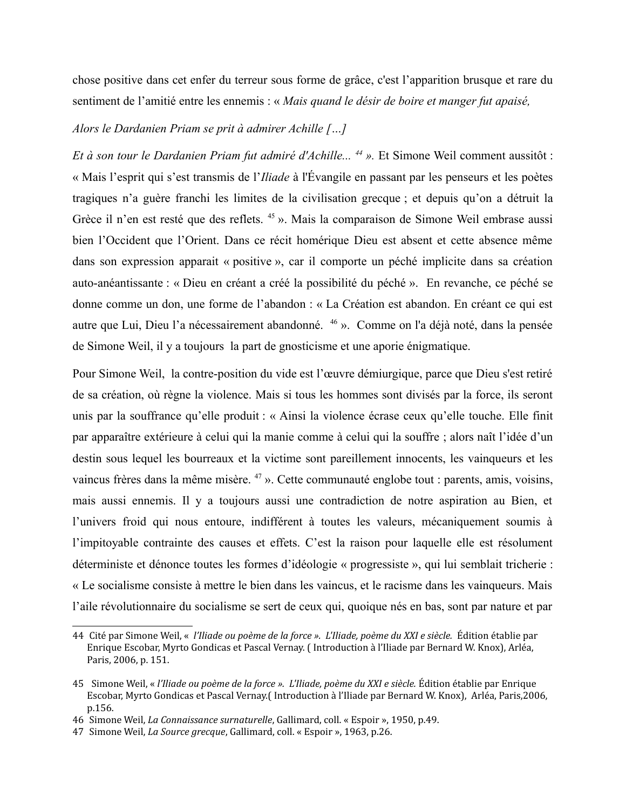chose positive dans cet enfer du terreur sous forme de grâce, c'est l'apparition brusque et rare du sentiment de l'amitié entre les ennemis : « Mais quand le désir de boire et manger fut apaisé,

## Alors le Dardanien Priam se prit à admirer Achille [...]

Et à son tour le Dardanien Priam fut admiré d'Achille...<sup>44</sup> ». Et Simone Weil comment aussitôt : « Mais l'esprit qui s'est transmis de l'*Iliade* à l'Évangile en passant par les penseurs et les poètes tragiques n'a guère franchi les limites de la civilisation grecque ; et depuis qu'on a détruit la Grèce il n'en est resté que des reflets.<sup>45</sup> ». Mais la comparaison de Simone Weil embrase aussi bien l'Occident que l'Orient. Dans ce récit homérique Dieu est absent et cette absence même dans son expression apparait « positive », car il comporte un péché implicite dans sa création auto-anéantissante : « Dieu en créant a créé la possibilité du péché ». En revanche, ce péché se donne comme un don, une forme de l'abandon : « La Création est abandon. En créant ce qui est autre que Lui, Dieu l'a nécessairement abandonné. <sup>46</sup> ». Comme on l'a déjà noté, dans la pensée de Simone Weil, il y a toujours la part de gnosticisme et une aporie énigmatique.

Pour Simone Weil, la contre-position du vide est l'œuvre démiurgique, parce que Dieu s'est retiré de sa création, où règne la violence. Mais si tous les hommes sont divisés par la force, ils seront unis par la souffrance qu'elle produit : « Ainsi la violence écrase ceux qu'elle touche. Elle finit par apparaître extérieure à celui qui la manie comme à celui qui la souffre; alors naît l'idée d'un destin sous lequel les bourreaux et la victime sont pareillement innocents, les vainqueurs et les vaincus frères dans la même misère.<sup>47</sup> ». Cette communauté englobe tout : parents, amis, voisins, mais aussi ennemis. Il y a toujours aussi une contradiction de notre aspiration au Bien, et l'univers froid qui nous entoure, indifférent à toutes les valeurs, mécaniquement soumis à l'impitoyable contrainte des causes et effets. C'est la raison pour laquelle elle est résolument déterministe et dénonce toutes les formes d'idéologie « progressiste », qui lui semblait tricherie : « Le socialisme consiste à mettre le bien dans les vaincus, et le racisme dans les vainqueurs. Mais l'aile révolutionnaire du socialisme se sert de ceux qui, quoique nés en bas, sont par nature et par

<span id="page-15-0"></span><sup>44</sup> Cité par Simone Weil, « l'Iliade ou poème de la force ». L'Iliade, poème du XXI e siècle. Édition établie par Enrique Escobar, Myrto Gondicas et Pascal Vernay. (Introduction à l'Iliade par Bernard W. Knox), Arléa, Paris, 2006, p. 151.

<span id="page-15-1"></span><sup>45</sup> Simone Weil, « l'Iliade ou poème de la force ». L'Iliade, poème du XXI e siècle. Édition établie par Enrique Escobar, Myrto Gondicas et Pascal Vernay (Introduction à l'Iliade par Bernard W. Knox), Arléa, Paris, 2006, p.156.

<span id="page-15-2"></span><sup>46</sup> Simone Weil, La Connaissance surnaturelle, Gallimard, coll. « Espoir », 1950, p.49.

<span id="page-15-3"></span><sup>47</sup> Simone Weil, La Source grecque, Gallimard, coll. « Espoir », 1963, p.26.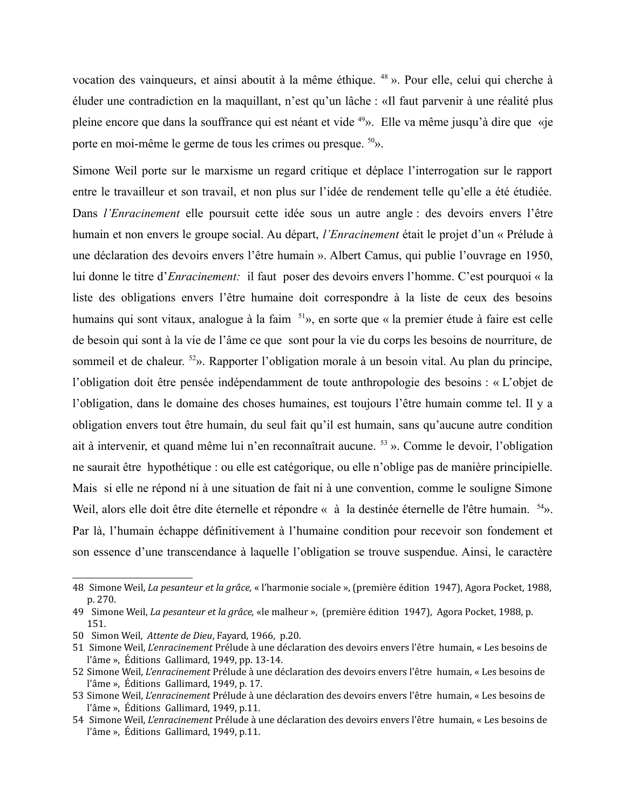vocation des vainqueurs, et ainsi aboutit à la même éthique. <sup>48</sup> ». Pour elle, celui qui cherche à éluder une contradiction en la maquillant, n'est qu'un lâche : «Il faut parvenir à une réalité plus pleine encore que dans la souffrance qui est néant et vide <sup>49</sup>». Elle va même jusqu'à dire que «je porte en moi-même le germe de tous les crimes ou presque. <sup>50</sup>».

Simone Weil porte sur le marxisme un regard critique et déplace l'interrogation sur le rapport entre le travailleur et son travail, et non plus sur l'idée de rendement telle qu'elle a été étudiée. Dans *l'Enracinement* elle poursuit cette idée sous un autre angle : des devoirs envers l'être humain et non envers le groupe social. Au départ, *l'Enracinement* était le projet d'un « Prélude à une déclaration des devoirs envers l'être humain ». Albert Camus, qui publie l'ouvrage en 1950, lui donne le titre d'*Enracinement*: il faut poser des devoirs envers l'homme. C'est pourquoi « la liste des obligations envers l'être humaine doit correspondre à la liste de ceux des besoins humains qui sont vitaux, analogue à la faim <sup>51</sup>», en sorte que « la premier étude à faire est celle de besoin qui sont à la vie de l'âme ce que sont pour la vie du corps les besoins de nourriture, de sommeil et de chaleur. <sup>52</sup>». Rapporter l'obligation morale à un besoin vital. Au plan du principe, l'obligation doit être pensée indépendamment de toute anthropologie des besoins : « L'objet de l'obligation, dans le domaine des choses humaines, est toujours l'être humain comme tel. Il y a obligation envers tout être humain, du seul fait qu'il est humain, sans qu'aucune autre condition ait à intervenir, et quand même lui n'en reconnaîtrait aucune. <sup>53</sup> ». Comme le devoir, l'obligation ne saurait être hypothétique : ou elle est catégorique, ou elle n'oblige pas de manière principielle. Mais si elle ne répond ni à une situation de fait ni à une convention, comme le souligne Simone Weil, alors elle doit être dite éternelle et répondre « à la destinée éternelle de l'être humain.  $54$ ». Par là, l'humain échappe définitivement à l'humaine condition pour recevoir son fondement et son essence d'une transcendance à laquelle l'obligation se trouve suspendue. Ainsi, le caractère

<span id="page-16-0"></span><sup>48</sup> Simone Weil, La pesanteur et la grâce, « l'harmonie sociale », (première édition 1947), Agora Pocket, 1988, p. 270.

<span id="page-16-1"></span><sup>49</sup> Simone Weil, La pesanteur et la grâce, «le malheur », (première édition 1947), Agora Pocket, 1988, p. 151.

<span id="page-16-2"></span><sup>50</sup> Simon Weil, Attente de Dieu, Fayard, 1966, p.20.

<span id="page-16-3"></span><sup>51</sup> Simone Weil, L'enracinement Prélude à une déclaration des devoirs envers l'être humain, « Les besoins de l'âme », Éditions Gallimard, 1949, pp. 13-14.

<span id="page-16-4"></span><sup>52</sup> Simone Weil, L'enracinement Prélude à une déclaration des devoirs envers l'être humain, « Les besoins de l'âme », Éditions Gallimard, 1949, p. 17.

<span id="page-16-5"></span><sup>53</sup> Simone Weil, L'enracinement Prélude à une déclaration des devoirs envers l'être humain, « Les besoins de l'âme », Éditions Gallimard, 1949, p.11.

<span id="page-16-6"></span><sup>54</sup> Simone Weil, L'enracinement Prélude à une déclaration des devoirs envers l'être humain, « Les besoins de l'âme », Éditions Gallimard, 1949, p.11.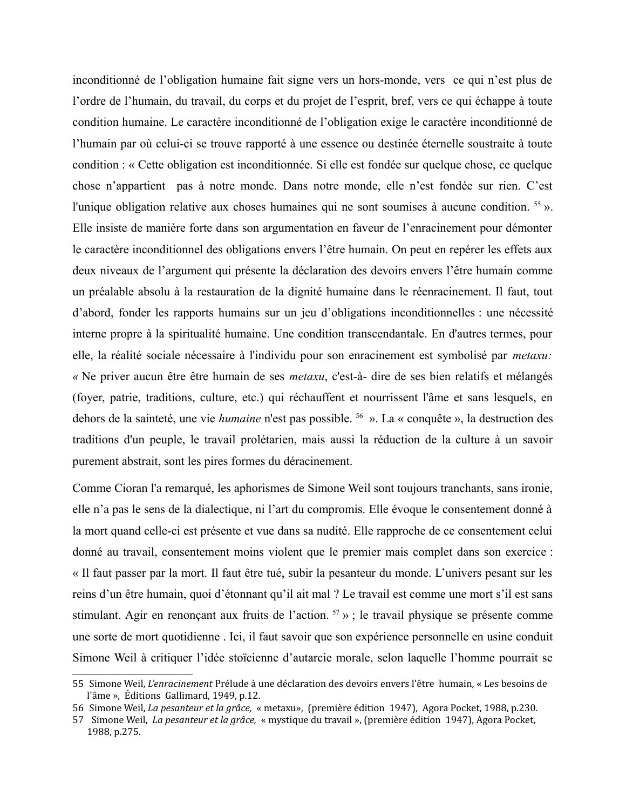inconditionné de l'obligation humaine fait signe vers un hors-monde, vers ce qui n'est plus de l'ordre de l'humain, du travail, du corps et du projet de l'esprit, bref, vers ce qui échappe à toute condition humaine. Le caractère inconditionné de l'obligation exige le caractère inconditionné de l'humain par où celui-ci se trouve rapporté à une essence ou destinée éternelle soustraite à toute condition : « Cette obligation est inconditionnée. Si elle est fondée sur quelque chose, ce quelque chose n'appartient pas à notre monde. Dans notre monde, elle n'est fondée sur rien. C'est l'unique obligation relative aux choses humaines qui ne sont soumises à aucune condition. <sup>55</sup> ». Elle insiste de manière forte dans son argumentation en faveur de l'enracinement pour démonter le caractère inconditionnel des obligations envers l'être humain. On peut en repérer les effets aux deux niveaux de l'argument qui présente la déclaration des devoirs envers l'être humain comme un préalable absolu à la restauration de la dignité humaine dans le réenracinement. Il faut, tout d'abord, fonder les rapports humains sur un jeu d'obligations inconditionnelles : une nécessité interne propre à la spiritualité humaine. Une condition transcendantale. En d'autres termes, pour elle, la réalité sociale nécessaire à l'individu pour son enracinement est symbolisé par *metaxu*: « Ne priver aucun être être humain de ses *metaxu*, c'est-à- dire de ses bien relatifs et mélangés (foyer, patrie, traditions, culture, etc.) qui réchauffent et nourrissent l'âme et sans lesquels, en dehors de la sainteté, une vie *humaine* n'est pas possible. <sup>56</sup> ». La « conquête », la destruction des traditions d'un peuple, le travail prolétarien, mais aussi la réduction de la culture à un savoir purement abstrait, sont les pires formes du déracinement.

Comme Cioran l'a remarqué, les aphorismes de Simone Weil sont toujours tranchants, sans ironie, elle n'a pas le sens de la dialectique, ni l'art du compromis. Elle évoque le consentement donné à la mort quand celle-ci est présente et vue dans sa nudité. Elle rapproche de ce consentement celui donné au travail, consentement moins violent que le premier mais complet dans son exercice : « Il faut passer par la mort. Il faut être tué, subir la pesanteur du monde. L'univers pesant sur les reins d'un être humain, quoi d'étonnant qu'il ait mal ? Le travail est comme une mort s'il est sans stimulant. Agir en renonçant aux fruits de l'action.  $57 \nu$ ; le travail physique se présente comme une sorte de mort quotidienne. Ici, il faut savoir que son expérience personnelle en usine conduit Simone Weil à critiquer l'idée stoïcienne d'autarcie morale, selon laquelle l'homme pourrait se

<span id="page-17-0"></span><sup>55</sup> Simone Weil, L'enracinement Prélude à une déclaration des devoirs envers l'être humain, « Les besoins de l'âme », Éditions Gallimard, 1949, p.12.

<span id="page-17-1"></span><sup>56</sup> Simone Weil, La pesanteur et la grâce, « metaxu», (première édition 1947), Agora Pocket, 1988, p.230.

<span id="page-17-2"></span><sup>57</sup> Simone Weil, La pesanteur et la grâce, « mystique du travail », (première édition 1947), Agora Pocket, 1988, p.275.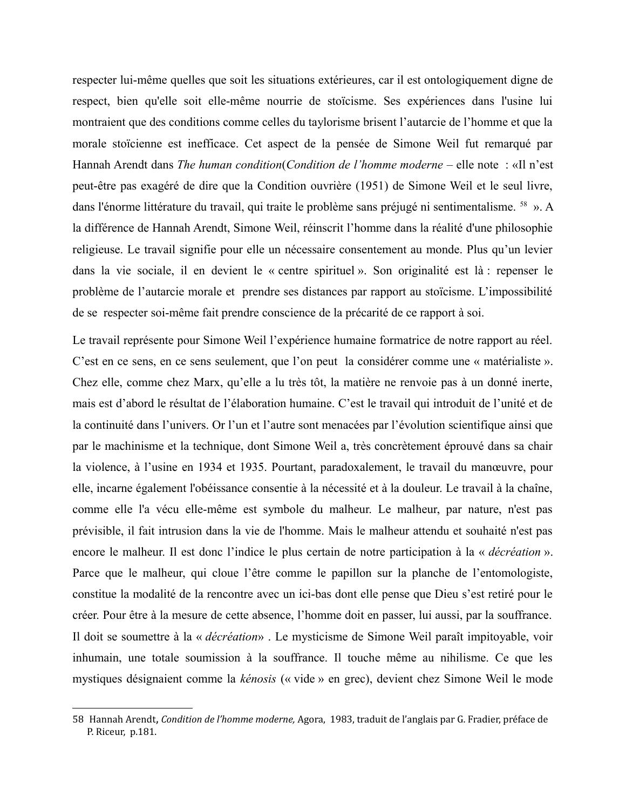respecter lui-même quelles que soit les situations extérieures, car il est ontologiquement digne de respect, bien qu'elle soit elle-même nourrie de stoïcisme. Ses expériences dans l'usine lui montraient que des conditions comme celles du taylorisme brisent l'autarcie de l'homme et que la morale stoïcienne est inefficace. Cet aspect de la pensée de Simone Weil fut remarqué par Hannah Arendt dans The human condition(Condition de l'homme moderne – elle note : «Il n'est peut-être pas exagéré de dire que la Condition ouvrière (1951) de Simone Weil et le seul livre, dans l'énorme littérature du travail, qui traite le problème sans préjugé ni sentimentalisme. <sup>58</sup> ». A la différence de Hannah Arendt, Simone Weil, réinscrit l'homme dans la réalité d'une philosophie religieuse. Le travail signifie pour elle un nécessaire consentement au monde. Plus qu'un levier dans la vie sociale, il en devient le « centre spirituel ». Son originalité est là : repenser le problème de l'autarcie morale et prendre ses distances par rapport au stoïcisme. L'impossibilité de se respecter soi-même fait prendre conscience de la précarité de ce rapport à soi.

Le travail représente pour Simone Weil l'expérience humaine formatrice de notre rapport au réel. C'est en ce sens, en ce sens seulement, que l'on peut la considérer comme une « matérialiste ». Chez elle, comme chez Marx, qu'elle a lu très tôt, la matière ne renvoie pas à un donné inerte, mais est d'abord le résultat de l'élaboration humaine. C'est le travail qui introduit de l'unité et de la continuité dans l'univers. Or l'un et l'autre sont menacées par l'évolution scientifique ainsi que par le machinisme et la technique, dont Simone Weil a, très concrètement éprouvé dans sa chair la violence, à l'usine en 1934 et 1935. Pourtant, paradoxalement, le travail du manœuvre, pour elle, incarne également l'obéissance consentie à la nécessité et à la douleur. Le travail à la chaîne, comme elle l'a vécu elle-même est symbole du malheur. Le malheur, par nature, n'est pas prévisible, il fait intrusion dans la vie de l'homme. Mais le malheur attendu et souhaité n'est pas encore le malheur. Il est donc l'indice le plus certain de notre participation à la « *décréation* ». Parce que le malheur, qui cloue l'être comme le papillon sur la planche de l'entomologiste, constitue la modalité de la rencontre avec un ici-bas dont elle pense que Dieu s'est retiré pour le créer. Pour être à la mesure de cette absence, l'homme doit en passer, lui aussi, par la souffrance. Il doit se soumettre à la « *décréation*». Le mysticisme de Simone Weil paraît impitoyable, voir inhumain, une totale soumission à la souffrance. Il touche même au nihilisme. Ce que les mystiques désignaient comme la kénosis (« vide » en grec), devient chez Simone Weil le mode

<span id="page-18-0"></span><sup>58</sup> Hannah Arendt, Condition de l'homme moderne, Agora, 1983, traduit de l'anglais par G. Fradier, préface de P. Riceur, p.181.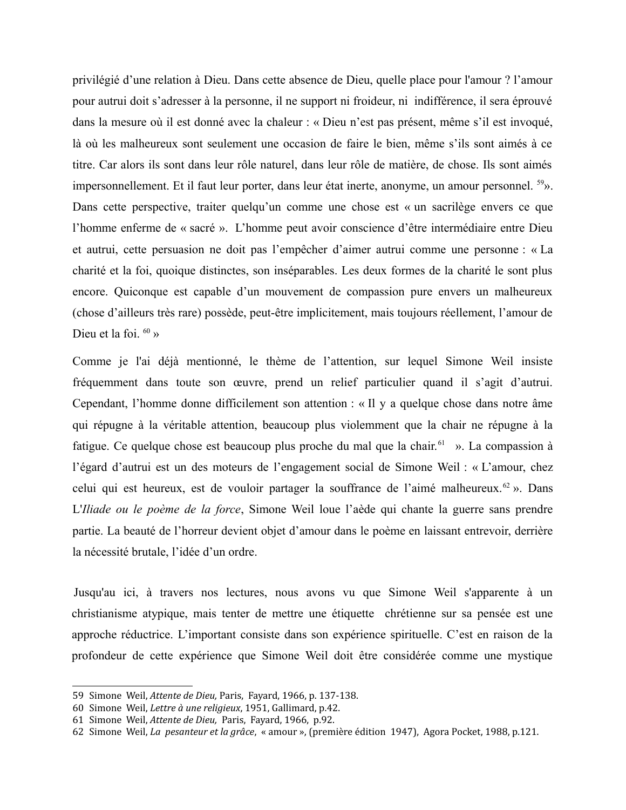privilégié d'une relation à Dieu. Dans cette absence de Dieu, quelle place pour l'amour ? l'amour pour autrui doit s'adresser à la personne, il ne support ni froideur, ni indifférence, il sera éprouvé dans la mesure où il est donné avec la chaleur : « Dieu n'est pas présent, même s'il est invoqué, là où les malheureux sont seulement une occasion de faire le bien, même s'ils sont aimés à ce titre. Car alors ils sont dans leur rôle naturel, dans leur rôle de matière, de chose. Ils sont aimés impersonnellement. Et il faut leur porter, dans leur état inerte, anonyme, un amour personnel. <sup>59</sup>». Dans cette perspective, traiter quelqu'un comme une chose est « un sacrilège envers ce que l'homme enferme de « sacré ». L'homme peut avoir conscience d'être intermédiaire entre Dieu et autrui, cette persuasion ne doit pas l'empêcher d'aimer autrui comme une personne : « La charité et la foi, quoique distinctes, son inséparables. Les deux formes de la charité le sont plus encore. Quiconque est capable d'un mouvement de compassion pure envers un malheureux (chose d'ailleurs très rare) possède, peut-être implicitement, mais toujours réellement, l'amour de Dieu et la foi.  $60 \times$ 

Comme je l'ai déjà mentionné, le thème de l'attention, sur lequel Simone Weil insiste fréquemment dans toute son œuvre, prend un relief particulier quand il s'agit d'autrui. Cependant, l'homme donne difficilement son attention : « Il y a quelque chose dans notre âme qui répugne à la véritable attention, beaucoup plus violemment que la chair ne répugne à la fatigue. Ce quelque chose est beaucoup plus proche du mal que la chair.<sup>61</sup> ». La compassion à l'égard d'autrui est un des moteurs de l'engagement social de Simone Weil : « L'amour, chez celui qui est heureux, est de vouloir partager la souffrance de l'aimé malheureux.<sup>62</sup> ». Dans L'Iliade ou le poème de la force, Simone Weil loue l'aède qui chante la guerre sans prendre partie. La beauté de l'horreur devient objet d'amour dans le poème en laissant entrevoir, derrière la nécessité brutale, l'idée d'un ordre.

Jusqu'au ici, à travers nos lectures, nous avons vu que Simone Weil s'apparente à un christianisme atypique, mais tenter de mettre une étiquette chrétienne sur sa pensée est une approche réductrice. L'important consiste dans son expérience spirituelle. C'est en raison de la profondeur de cette expérience que Simone Weil doit être considérée comme une mystique

<span id="page-19-0"></span><sup>59</sup> Simone Weil, Attente de Dieu, Paris, Fayard, 1966, p. 137-138.

<span id="page-19-1"></span><sup>60</sup> Simone Weil, Lettre à une religieux, 1951, Gallimard, p.42.

<span id="page-19-2"></span><sup>61</sup> Simone Weil, Attente de Dieu, Paris, Fayard, 1966, p.92.

<span id="page-19-3"></span><sup>62</sup> Simone Weil, La pesanteur et la grâce, « amour », (première édition 1947), Agora Pocket, 1988, p.121.